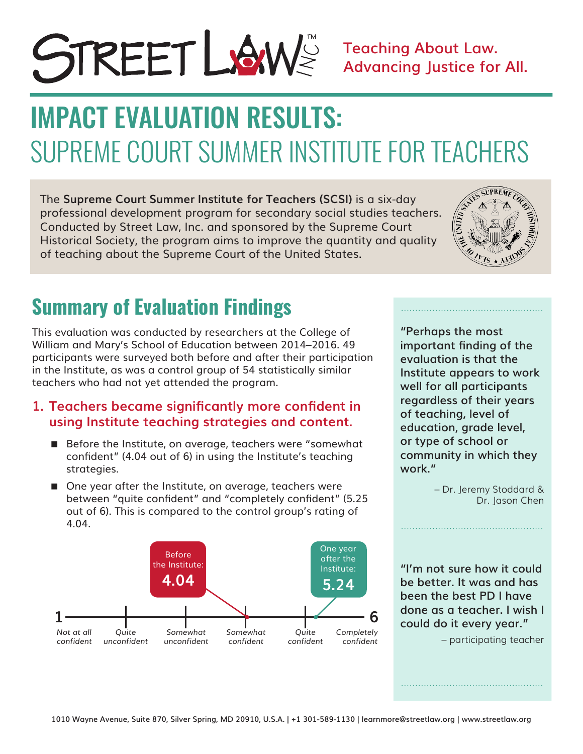

### **Teaching About Law. Advancing Justice for All.**

# SUPREME COURT SUMMER INSTITUTE FOR TEACHERS IMPACT EVALUATION RESULTS:

The **Supreme Court Summer Institute for Teachers (SCSI)** is a six-day professional development program for secondary social studies teachers. Conducted by Street Law, Inc. and sponsored by the Supreme Court Historical Society, the program aims to improve the quantity and quality of teaching about the Supreme Court of the United States.



## **Summary of Evaluation Findings**

This evaluation was conducted by researchers at the College of William and Mary's School of Education between 2014–2016. 49 participants were surveyed both before and after their participation in the Institute, as was a control group of 54 statistically similar teachers who had not yet attended the program.

#### **1. Teachers became significantly more confident in using Institute teaching strategies and content.**

- Before the Institute, on average, teachers were "somewhat confident" (4.04 out of 6) in using the Institute's teaching strategies.
- One year after the Institute, on average, teachers were between "quite confident" and "completely confident" (5.25 out of 6). This is compared to the control group's rating of 4.04.



**"Perhaps the most important finding of the evaluation is that the Institute appears to work well for all participants regardless of their years of teaching, level of education, grade level, or type of school or community in which they work."** 

> – Dr. Jeremy Stoddard & Dr. Jason Chen

**"I'm not sure how it could be better. It was and has been the best PD I have done as a teacher. I wish I could do it every year."**

– participating teacher